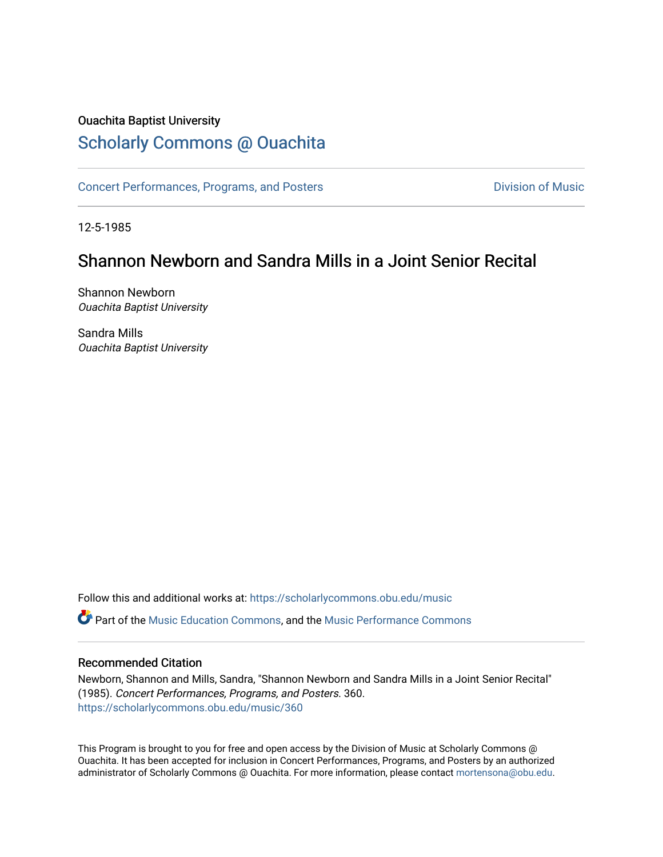### Ouachita Baptist University

## [Scholarly Commons @ Ouachita](https://scholarlycommons.obu.edu/)

[Concert Performances, Programs, and Posters](https://scholarlycommons.obu.edu/music) **Division of Music** Division of Music

12-5-1985

# Shannon Newborn and Sandra Mills in a Joint Senior Recital

Shannon Newborn Ouachita Baptist University

Sandra Mills Ouachita Baptist University

Follow this and additional works at: [https://scholarlycommons.obu.edu/music](https://scholarlycommons.obu.edu/music?utm_source=scholarlycommons.obu.edu%2Fmusic%2F360&utm_medium=PDF&utm_campaign=PDFCoverPages)  **C** Part of the [Music Education Commons,](http://network.bepress.com/hgg/discipline/1246?utm_source=scholarlycommons.obu.edu%2Fmusic%2F360&utm_medium=PDF&utm_campaign=PDFCoverPages) and the Music Performance Commons

#### Recommended Citation

Newborn, Shannon and Mills, Sandra, "Shannon Newborn and Sandra Mills in a Joint Senior Recital" (1985). Concert Performances, Programs, and Posters. 360. [https://scholarlycommons.obu.edu/music/360](https://scholarlycommons.obu.edu/music/360?utm_source=scholarlycommons.obu.edu%2Fmusic%2F360&utm_medium=PDF&utm_campaign=PDFCoverPages) 

This Program is brought to you for free and open access by the Division of Music at Scholarly Commons @ Ouachita. It has been accepted for inclusion in Concert Performances, Programs, and Posters by an authorized administrator of Scholarly Commons @ Ouachita. For more information, please contact [mortensona@obu.edu](mailto:mortensona@obu.edu).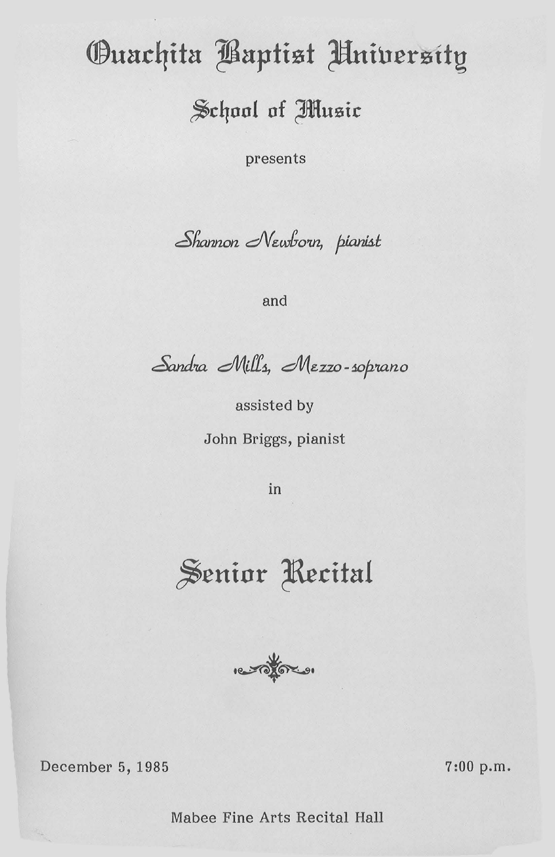# **Ouachita Baptist Hniversity**

School of Music

presents

Shannon Newborn, pianist

and

Sandra Mills, Mezzo-soprano

assisted by John Briggs, pianist

in





December 5, 1985

 $7:00 p.m.$ 

Mabee Fine Arts Recital Hall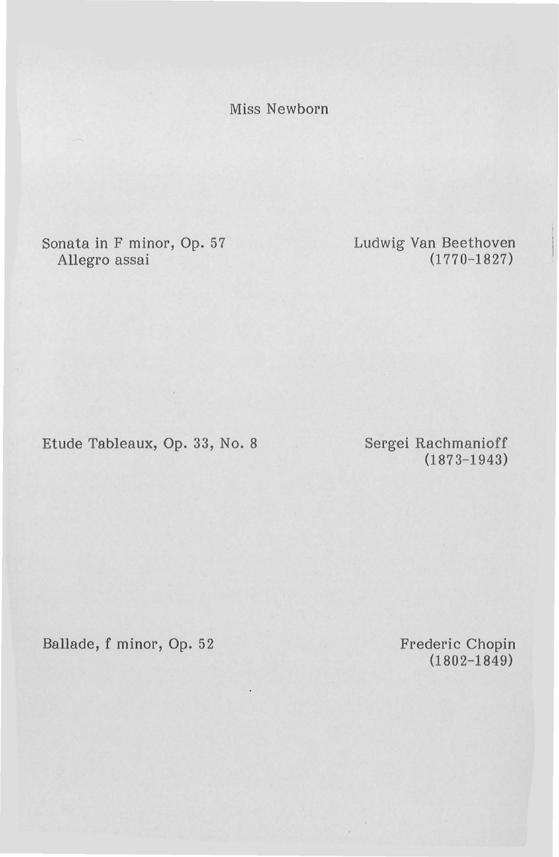Miss Newborn

Sonata in F minor, Op. 57 Allegro assai

Ludwig Van Beethoven (1770-1827)

Etude Tableaux, Op. 33, No. 8

Sergei Rachmanioff (1873-1943)

Ballade, f minor, Op. 52

Frederic Chopin (1802-1849)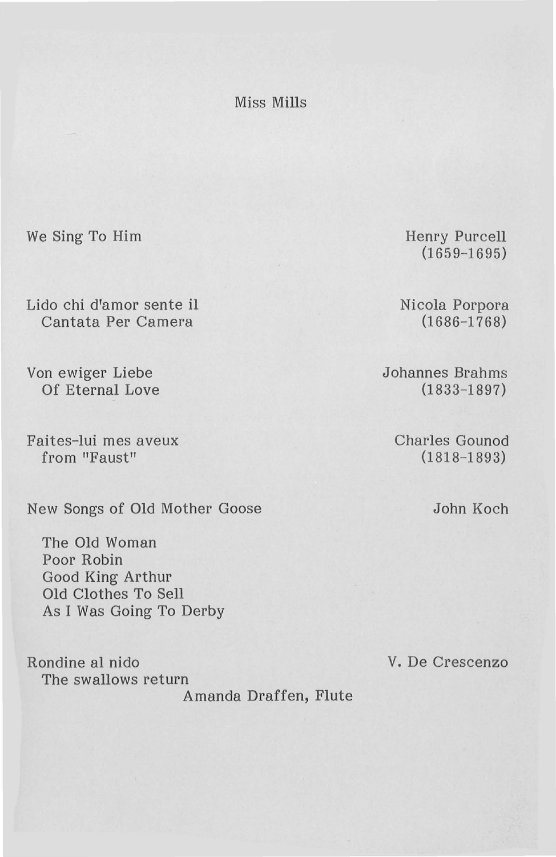Miss Mills

We Sing To Him

Lido chi d'amor sente il Cantata Per Camera

Von ewiger Liebe Of Eternal Love

Faites-lui mes aveux from "Faust"

New Songs of Old Mother Goose

The Old Woman Poor Robin Good King Arthur Old Clothes To Sell As I Was Going To Derby

Rondine al nido The swallows return Amanda Draffen, Flute Henry Purcell (1659-1695)

Nicola Porpora (1686-1768)

Johannes Brahms (1833-1897)

Charles Gounod  $(1818 - 1893)$ 

John Koch

V. De Crescenzo